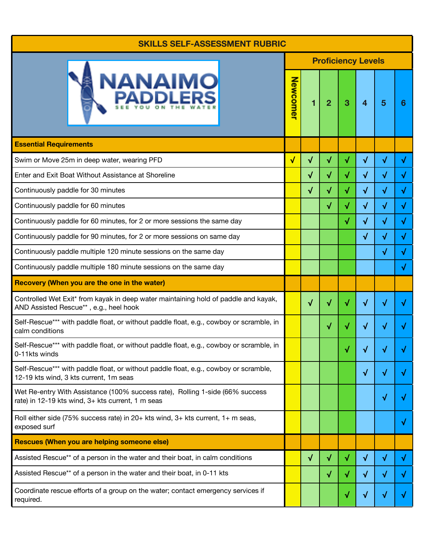## **SKILLS SELF-ASSESSMENT RUBRIC**

| <b>JANAIMO</b>                                                                                                                     | <b>Proficiency Levels</b> |           |                |           |                  |           |           |  |  |
|------------------------------------------------------------------------------------------------------------------------------------|---------------------------|-----------|----------------|-----------|------------------|-----------|-----------|--|--|
|                                                                                                                                    | Newcomer                  | 1         | $\overline{2}$ | 3         | $\boldsymbol{4}$ | 5         | 6         |  |  |
| <b>Essential Requirements</b>                                                                                                      |                           |           |                |           |                  |           |           |  |  |
| Swim or Move 25m in deep water, wearing PFD                                                                                        | $\sqrt{}$                 | $\sqrt{}$ | $\sqrt{}$      | √         | $\sqrt{}$        | $\sqrt{}$ | √         |  |  |
| Enter and Exit Boat Without Assistance at Shoreline                                                                                |                           | $\sqrt{}$ | √              | $\sqrt{}$ | $\sqrt{}$        | √         | √         |  |  |
| Continuously paddle for 30 minutes                                                                                                 |                           | $\sqrt{}$ | $\sqrt{}$      | $\sqrt{}$ | $\sqrt{}$        | $\sqrt{}$ | √         |  |  |
| Continuously paddle for 60 minutes                                                                                                 |                           |           | $\sqrt{}$      | $\sqrt{}$ | $\sqrt{ }$       | $\sqrt{}$ | $\sqrt{}$ |  |  |
| Continuously paddle for 60 minutes, for 2 or more sessions the same day                                                            |                           |           |                | $\sqrt{}$ | $\sqrt{}$        | √         | √         |  |  |
| Continuously paddle for 90 minutes, for 2 or more sessions on same day                                                             |                           |           |                |           | $\sqrt{}$        | √         | √         |  |  |
| Continuously paddle multiple 120 minute sessions on the same day                                                                   |                           |           |                |           |                  | √         | √         |  |  |
| Continuously paddle multiple 180 minute sessions on the same day                                                                   |                           |           |                |           |                  |           | √         |  |  |
| Recovery (When you are the one in the water)                                                                                       |                           |           |                |           |                  |           |           |  |  |
| Controlled Wet Exit* from kayak in deep water maintaining hold of paddle and kayak,<br>AND Assisted Rescue**, e.g., heel hook      |                           | $\sqrt{}$ | √              | √         | $\sqrt{}$        | √         | V         |  |  |
| Self-Rescue*** with paddle float, or without paddle float, e.g., cowboy or scramble, in<br>calm conditions                         |                           |           | √              | $\sqrt{}$ | √                | √         | √         |  |  |
| Self-Rescue*** with paddle float, or without paddle float, e.g., cowboy or scramble, in<br>0-11kts winds                           |                           |           |                |           |                  |           |           |  |  |
| Self-Rescue*** with paddle float, or without paddle float, e.g., cowboy or scramble,<br>12-19 kts wind, 3 kts current, 1m seas     |                           |           |                |           | $\sqrt{}$        | √         | v         |  |  |
| Wet Re-entry With Assistance (100% success rate), Rolling 1-side (66% success<br>rate) in 12-19 kts wind, 3+ kts current, 1 m seas |                           |           |                |           |                  | √         | √         |  |  |
| Roll either side (75% success rate) in 20+ kts wind, 3+ kts current, 1+ m seas,<br>exposed surf                                    |                           |           |                |           |                  |           | √         |  |  |
| <b>Rescues (When you are helping someone else)</b>                                                                                 |                           |           |                |           |                  |           |           |  |  |
| Assisted Rescue** of a person in the water and their boat, in calm conditions                                                      |                           | $\sqrt{}$ | √              | √         | √                | √         | √         |  |  |
| Assisted Rescue** of a person in the water and their boat, in 0-11 kts                                                             |                           |           | √              | √         | √                | √         | V         |  |  |
| Coordinate rescue efforts of a group on the water; contact emergency services if<br>required.                                      |                           |           |                | √         | $\sqrt{}$        | √         |           |  |  |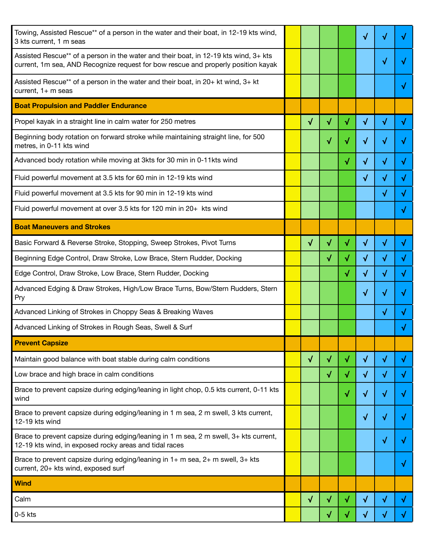| Towing, Assisted Rescue** of a person in the water and their boat, in 12-19 kts wind,<br>3 kts current, 1 m seas                                                          |           |   |           | √          |            |            |
|---------------------------------------------------------------------------------------------------------------------------------------------------------------------------|-----------|---|-----------|------------|------------|------------|
| Assisted Rescue** of a person in the water and their boat, in 12-19 kts wind, 3+ kts<br>current, 1m sea, AND Recognize request for bow rescue and properly position kayak |           |   |           |            | √          |            |
| Assisted Rescue** of a person in the water and their boat, in 20+ kt wind, 3+ kt<br>current, $1+$ m seas                                                                  |           |   |           |            |            |            |
| <b>Boat Propulsion and Paddler Endurance</b>                                                                                                                              |           |   |           |            |            |            |
| Propel kayak in a straight line in calm water for 250 metres                                                                                                              | $\sqrt{}$ | √ | √         | $\sqrt{}$  | √          | √          |
| Beginning body rotation on forward stroke while maintaining straight line, for 500<br>metres, in 0-11 kts wind                                                            |           | √ | √         | √          | √          |            |
| Advanced body rotation while moving at 3kts for 30 min in 0-11kts wind                                                                                                    |           |   | √         | √          | √          |            |
| Fluid powerful movement at 3.5 kts for 60 min in 12-19 kts wind                                                                                                           |           |   |           | √          | ν          |            |
| Fluid powerful movement at 3.5 kts for 90 min in 12-19 kts wind                                                                                                           |           |   |           |            | $\sqrt{ }$ | V          |
| Fluid powerful movement at over 3.5 kts for 120 min in 20+ kts wind                                                                                                       |           |   |           |            |            | √          |
| <b>Boat Maneuvers and Strokes</b>                                                                                                                                         |           |   |           |            |            |            |
| Basic Forward & Reverse Stroke, Stopping, Sweep Strokes, Pivot Turns                                                                                                      | $\sqrt{}$ | √ | √         | $\sqrt{ }$ | √          | √          |
| Beginning Edge Control, Draw Stroke, Low Brace, Stern Rudder, Docking                                                                                                     |           | √ | √         | $\sqrt{}$  | √          |            |
| Edge Control, Draw Stroke, Low Brace, Stern Rudder, Docking                                                                                                               |           |   | √         | √          | √          |            |
| Advanced Edging & Draw Strokes, High/Low Brace Turns, Bow/Stern Rudders, Stern<br>Pry                                                                                     |           |   |           | $\sqrt{ }$ | √          |            |
| Advanced Linking of Strokes in Choppy Seas & Breaking Waves                                                                                                               |           |   |           |            | √          |            |
| Advanced Linking of Strokes in Rough Seas, Swell & Surf                                                                                                                   |           |   |           |            |            |            |
| <b>Prevent Capsize</b>                                                                                                                                                    |           |   |           |            |            |            |
| Maintain good balance with boat stable during calm conditions                                                                                                             | $\sqrt{}$ | √ | $\sqrt{}$ | $\sqrt{ }$ | $\sqrt{}$  | $\sqrt{ }$ |
| Low brace and high brace in calm conditions                                                                                                                               |           | √ | $\sqrt{}$ | $\sqrt{}$  | √          | $\sqrt{ }$ |
| Brace to prevent capsize during edging/leaning in light chop, 0.5 kts current, 0-11 kts<br>wind                                                                           |           |   | $\sqrt{}$ | √          | √          | V          |
| Brace to prevent capsize during edging/leaning in 1 m sea, 2 m swell, 3 kts current,<br>12-19 kts wind                                                                    |           |   |           | √          | √          |            |
| Brace to prevent capsize during edging/leaning in 1 m sea, 2 m swell, 3+ kts current,<br>12-19 kts wind, in exposed rocky areas and tidal races                           |           |   |           |            | √          | √          |
| Brace to prevent capsize during edging/leaning in 1+ m sea, 2+ m swell, 3+ kts<br>current, 20+ kts wind, exposed surf                                                     |           |   |           |            |            | $\sqrt{ }$ |
| <b>Wind</b>                                                                                                                                                               |           |   |           |            |            |            |
| Calm                                                                                                                                                                      | $\sqrt{}$ | √ | √         | $\sqrt{}$  | √          | $\sqrt{ }$ |
| $0-5$ kts                                                                                                                                                                 |           | √ | $\sqrt{}$ | $\sqrt{}$  | √          | J.         |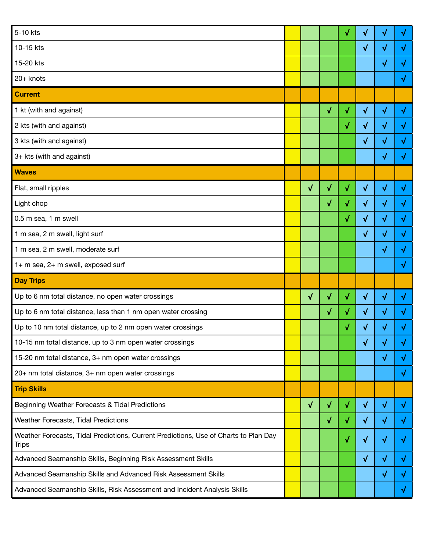| 5-10 kts                                                                                             |           |           | √            | √          | √         | √ |
|------------------------------------------------------------------------------------------------------|-----------|-----------|--------------|------------|-----------|---|
| 10-15 kts                                                                                            |           |           |              | √          | √         |   |
| 15-20 kts                                                                                            |           |           |              |            | √         | √ |
| 20+ knots                                                                                            |           |           |              |            |           | √ |
| <b>Current</b>                                                                                       |           |           |              |            |           |   |
| 1 kt (with and against)                                                                              |           | $\sqrt{}$ | √            | $\sqrt{}$  | $\sqrt{}$ | √ |
| 2 kts (with and against)                                                                             |           |           | √            | $\sqrt{ }$ | $\sqrt{}$ | √ |
| 3 kts (with and against)                                                                             |           |           |              | √          | $\sqrt{}$ | √ |
| 3+ kts (with and against)                                                                            |           |           |              |            | √         |   |
| <b>Waves</b>                                                                                         |           |           |              |            |           |   |
| Flat, small ripples                                                                                  | $\sqrt{}$ | √         | $\checkmark$ | $\sqrt{ }$ | √         | √ |
| Light chop                                                                                           |           | √         | √            | $\sqrt{}$  | $\sqrt{}$ | √ |
| 0.5 m sea, 1 m swell                                                                                 |           |           | √            | $\sqrt{ }$ | √         | √ |
| 1 m sea, 2 m swell, light surf                                                                       |           |           |              | $\sqrt{}$  | $\sqrt{}$ | √ |
| 1 m sea, 2 m swell, moderate surf                                                                    |           |           |              |            | $\sqrt{}$ | √ |
| 1+ m sea, 2+ m swell, exposed surf                                                                   |           |           |              |            |           | √ |
| <b>Day Trips</b>                                                                                     |           |           |              |            |           |   |
| Up to 6 nm total distance, no open water crossings                                                   | $\sqrt{}$ | √         | √            | $\sqrt{}$  | √         | √ |
| Up to 6 nm total distance, less than 1 nm open water crossing                                        |           | √         | √            | $\sqrt{ }$ | √         | √ |
| Up to 10 nm total distance, up to 2 nm open water crossings                                          |           |           | √            | √          | √         |   |
| 10-15 nm total distance, up to 3 nm open water crossings                                             |           |           |              | $\sqrt{}$  | √         | V |
| 15-20 nm total distance, 3+ nm open water crossings                                                  |           |           |              |            | $\sqrt{}$ | √ |
| 20+ nm total distance, 3+ nm open water crossings                                                    |           |           |              |            |           | √ |
| <b>Trip Skills</b>                                                                                   |           |           |              |            |           |   |
| Beginning Weather Forecasts & Tidal Predictions                                                      | $\sqrt{}$ | $\sqrt{}$ | $\sqrt{}$    | $\sqrt{}$  | $\sqrt{}$ | √ |
| Weather Forecasts, Tidal Predictions                                                                 |           | √         | $\sqrt{ }$   | $\sqrt{}$  | √         | √ |
| Weather Forecasts, Tidal Predictions, Current Predictions, Use of Charts to Plan Day<br><b>Trips</b> |           |           | $\sqrt{}$    | $\sqrt{}$  | $\sqrt{}$ | √ |
| Advanced Seamanship Skills, Beginning Risk Assessment Skills                                         |           |           |              | $\sqrt{}$  | $\sqrt{}$ | √ |
| Advanced Seamanship Skills and Advanced Risk Assessment Skills                                       |           |           |              |            | √         | √ |
| Advanced Seamanship Skills, Risk Assessment and Incident Analysis Skills                             |           |           |              |            |           | V |